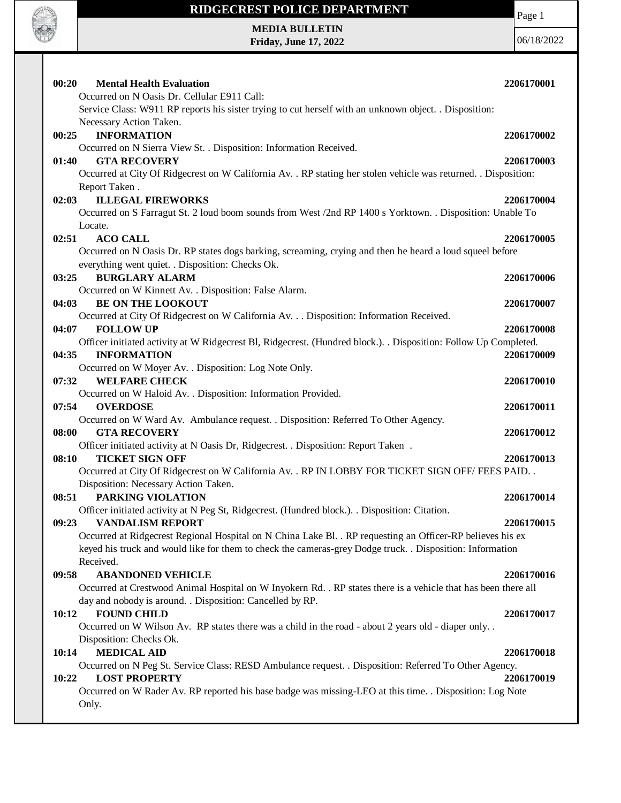

#### **RIDGECREST POLICE DEPARTMENT**

Page 1

**MEDIA BULLETIN Friday, June 17, 2022**

| 00:20<br><b>Mental Health Evaluation</b>                                                                                   | 2206170001 |
|----------------------------------------------------------------------------------------------------------------------------|------------|
| Occurred on N Oasis Dr. Cellular E911 Call:                                                                                |            |
| Service Class: W911 RP reports his sister trying to cut herself with an unknown object. . Disposition:                     |            |
| Necessary Action Taken.                                                                                                    |            |
| 00:25<br><b>INFORMATION</b>                                                                                                | 2206170002 |
| Occurred on N Sierra View St. . Disposition: Information Received.                                                         |            |
| <b>GTA RECOVERY</b><br>01:40                                                                                               | 2206170003 |
| Occurred at City Of Ridgecrest on W California Av. . RP stating her stolen vehicle was returned. . Disposition:            |            |
| Report Taken.                                                                                                              |            |
| <b>ILLEGAL FIREWORKS</b><br>02:03                                                                                          | 2206170004 |
| Occurred on S Farragut St. 2 loud boom sounds from West /2nd RP 1400 s Yorktown. . Disposition: Unable To                  |            |
| Locate.                                                                                                                    |            |
| 02:51<br><b>ACO CALL</b>                                                                                                   | 2206170005 |
| Occurred on N Oasis Dr. RP states dogs barking, screaming, crying and then he heard a loud squeel before                   |            |
| everything went quiet. . Disposition: Checks Ok.                                                                           |            |
| 03:25<br><b>BURGLARY ALARM</b>                                                                                             | 2206170006 |
| Occurred on W Kinnett Av. . Disposition: False Alarm.                                                                      |            |
| <b>BE ON THE LOOKOUT</b><br>04:03<br>Occurred at City Of Ridgecrest on W California Av. Disposition: Information Received. | 2206170007 |
| <b>FOLLOW UP</b><br>04:07                                                                                                  | 2206170008 |
| Officer initiated activity at W Ridgecrest Bl, Ridgecrest. (Hundred block.). . Disposition: Follow Up Completed.           |            |
| <b>INFORMATION</b><br>04:35                                                                                                | 2206170009 |
| Occurred on W Moyer Av. . Disposition: Log Note Only.                                                                      |            |
| <b>WELFARE CHECK</b><br>07:32                                                                                              | 2206170010 |
| Occurred on W Haloid Av. . Disposition: Information Provided.                                                              |            |
| 07:54<br><b>OVERDOSE</b>                                                                                                   | 2206170011 |
| Occurred on W Ward Av. Ambulance request. . Disposition: Referred To Other Agency.                                         |            |
| 08:00<br><b>GTA RECOVERY</b>                                                                                               | 2206170012 |
| Officer initiated activity at N Oasis Dr, Ridgecrest. . Disposition: Report Taken.                                         |            |
| <b>TICKET SIGN OFF</b><br>08:10                                                                                            | 2206170013 |
| Occurred at City Of Ridgecrest on W California Av. . RP IN LOBBY FOR TICKET SIGN OFF/ FEES PAID. .                         |            |
| Disposition: Necessary Action Taken.                                                                                       |            |
| 08:51<br>PARKING VIOLATION                                                                                                 | 2206170014 |
| Officer initiated activity at N Peg St, Ridgecrest. (Hundred block.). . Disposition: Citation.                             |            |
| 09:23<br><b>VANDALISM REPORT</b>                                                                                           | 2206170015 |
| Occurred at Ridgecrest Regional Hospital on N China Lake Bl. . RP requesting an Officer-RP believes his ex                 |            |
| keyed his truck and would like for them to check the cameras-grey Dodge truck. . Disposition: Information                  |            |
| Received.                                                                                                                  |            |
| <b>ABANDONED VEHICLE</b><br>09:58                                                                                          | 2206170016 |
| Occurred at Crestwood Animal Hospital on W Inyokern Rd. . RP states there is a vehicle that has been there all             |            |
| day and nobody is around. . Disposition: Cancelled by RP.                                                                  |            |
| <b>FOUND CHILD</b><br>10:12                                                                                                | 2206170017 |
| Occurred on W Wilson Av. RP states there was a child in the road - about 2 years old - diaper only                         |            |
| Disposition: Checks Ok.                                                                                                    |            |
| <b>MEDICAL AID</b><br>10:14                                                                                                | 2206170018 |
| Occurred on N Peg St. Service Class: RESD Ambulance request. . Disposition: Referred To Other Agency.                      |            |
| <b>LOST PROPERTY</b><br>10:22                                                                                              | 2206170019 |
| Occurred on W Rader Av. RP reported his base badge was missing-LEO at this time. . Disposition: Log Note                   |            |
| Only.                                                                                                                      |            |
|                                                                                                                            |            |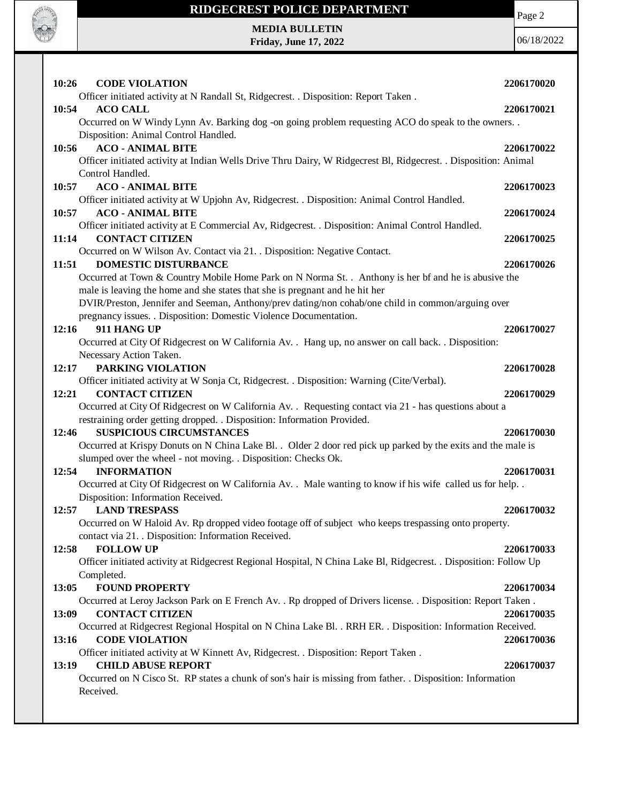

### **RIDGECREST POLICE DEPARTMENT**



| 10:26 | <b>CODE VIOLATION</b>                                                                                                 | 2206170020 |
|-------|-----------------------------------------------------------------------------------------------------------------------|------------|
|       | Officer initiated activity at N Randall St, Ridgecrest. . Disposition: Report Taken.                                  |            |
| 10:54 | <b>ACO CALL</b>                                                                                                       | 2206170021 |
|       | Occurred on W Windy Lynn Av. Barking dog -on going problem requesting ACO do speak to the owners. .                   |            |
|       | Disposition: Animal Control Handled.                                                                                  |            |
| 10:56 | <b>ACO - ANIMAL BITE</b>                                                                                              | 2206170022 |
|       | Officer initiated activity at Indian Wells Drive Thru Dairy, W Ridgecrest Bl, Ridgecrest. . Disposition: Animal       |            |
|       | Control Handled.                                                                                                      |            |
| 10:57 | <b>ACO - ANIMAL BITE</b>                                                                                              | 2206170023 |
|       | Officer initiated activity at W Upjohn Av, Ridgecrest. . Disposition: Animal Control Handled.                         |            |
| 10:57 | <b>ACO - ANIMAL BITE</b>                                                                                              | 2206170024 |
|       | Officer initiated activity at E Commercial Av, Ridgecrest. . Disposition: Animal Control Handled.                     |            |
| 11:14 | <b>CONTACT CITIZEN</b>                                                                                                | 2206170025 |
|       | Occurred on W Wilson Av. Contact via 21. . Disposition: Negative Contact.                                             |            |
| 11:51 | <b>DOMESTIC DISTURBANCE</b>                                                                                           | 2206170026 |
|       | Occurred at Town & Country Mobile Home Park on N Norma St. . Anthony is her bf and he is abusive the                  |            |
|       | male is leaving the home and she states that she is pregnant and he hit her                                           |            |
|       | DVIR/Preston, Jennifer and Seeman, Anthony/prev dating/non cohab/one child in common/arguing over                     |            |
|       | pregnancy issues. . Disposition: Domestic Violence Documentation.                                                     |            |
| 12:16 | 911 HANG UP                                                                                                           | 2206170027 |
|       | Occurred at City Of Ridgecrest on W California Av. . Hang up, no answer on call back. . Disposition:                  |            |
|       | Necessary Action Taken.                                                                                               |            |
| 12:17 | PARKING VIOLATION                                                                                                     | 2206170028 |
|       | Officer initiated activity at W Sonja Ct, Ridgecrest. . Disposition: Warning (Cite/Verbal).<br><b>CONTACT CITIZEN</b> |            |
| 12:21 | Occurred at City Of Ridgecrest on W California Av. . Requesting contact via 21 - has questions about a                | 2206170029 |
|       | restraining order getting dropped. . Disposition: Information Provided.                                               |            |
| 12:46 | <b>SUSPICIOUS CIRCUMSTANCES</b>                                                                                       | 2206170030 |
|       | Occurred at Krispy Donuts on N China Lake Bl. . Older 2 door red pick up parked by the exits and the male is          |            |
|       | slumped over the wheel - not moving. . Disposition: Checks Ok.                                                        |            |
| 12:54 | <b>INFORMATION</b>                                                                                                    | 2206170031 |
|       | Occurred at City Of Ridgecrest on W California Av. . Male wanting to know if his wife called us for help. .           |            |
|       | Disposition: Information Received.                                                                                    |            |
| 12:57 | <b>LAND TRESPASS</b>                                                                                                  | 2206170032 |
|       | Occurred on W Haloid Av. Rp dropped video footage off of subject who keeps trespassing onto property.                 |            |
|       | contact via 21. Disposition: Information Received.                                                                    |            |
| 12:58 | <b>FOLLOW UP</b>                                                                                                      | 2206170033 |
|       | Officer initiated activity at Ridgecrest Regional Hospital, N China Lake Bl, Ridgecrest. . Disposition: Follow Up     |            |
|       | Completed.                                                                                                            |            |
| 13:05 | <b>FOUND PROPERTY</b>                                                                                                 | 2206170034 |
|       | Occurred at Leroy Jackson Park on E French Av. . Rp dropped of Drivers license. . Disposition: Report Taken.          |            |
| 13:09 | <b>CONTACT CITIZEN</b>                                                                                                | 2206170035 |
|       | Occurred at Ridgecrest Regional Hospital on N China Lake Bl. . RRH ER. . Disposition: Information Received.           |            |
| 13:16 | <b>CODE VIOLATION</b>                                                                                                 | 2206170036 |
|       | Officer initiated activity at W Kinnett Av, Ridgecrest. . Disposition: Report Taken.                                  |            |
| 13:19 | <b>CHILD ABUSE REPORT</b>                                                                                             | 2206170037 |
|       | Occurred on N Cisco St. RP states a chunk of son's hair is missing from father. Disposition: Information              |            |
|       | Received.                                                                                                             |            |
|       |                                                                                                                       |            |

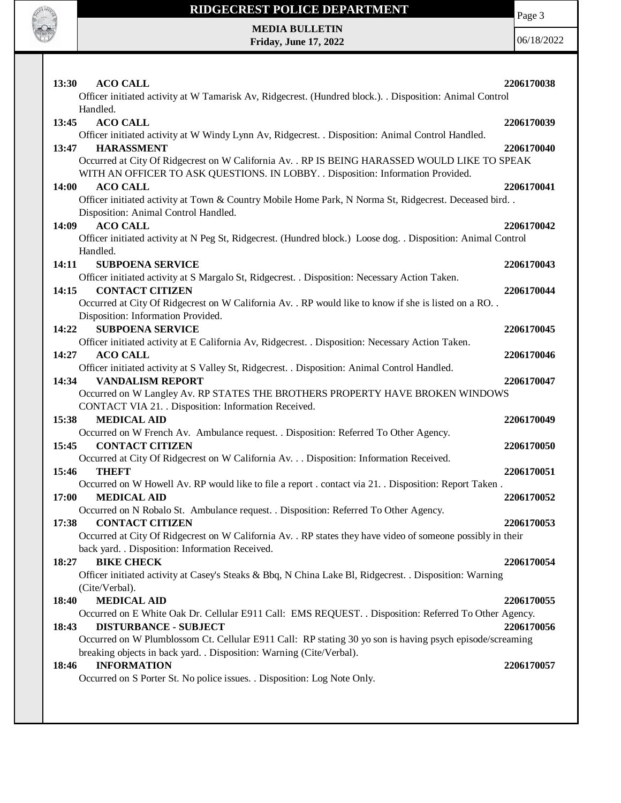

### **RIDGECREST POLICE DEPARTMENT**

Page 3

**MEDIA BULLETIN Friday, June 17, 2022**

| 13:30<br><b>ACO CALL</b><br>Officer initiated activity at W Tamarisk Av, Ridgecrest. (Hundred block.). . Disposition: Animal Control                                                                                                                                                      | 2206170038 |
|-------------------------------------------------------------------------------------------------------------------------------------------------------------------------------------------------------------------------------------------------------------------------------------------|------------|
| Handled.<br>13:45<br><b>ACO CALL</b><br>Officer initiated activity at W Windy Lynn Av, Ridgecrest. . Disposition: Animal Control Handled.                                                                                                                                                 | 2206170039 |
| <b>HARASSMENT</b><br>13:47<br>Occurred at City Of Ridgecrest on W California Av. . RP IS BEING HARASSED WOULD LIKE TO SPEAK<br>WITH AN OFFICER TO ASK QUESTIONS. IN LOBBY. . Disposition: Information Provided.                                                                           | 2206170040 |
| <b>ACO CALL</b><br><b>14:00</b><br>Officer initiated activity at Town & Country Mobile Home Park, N Norma St, Ridgecrest. Deceased bird. .<br>Disposition: Animal Control Handled.                                                                                                        | 2206170041 |
| <b>ACO CALL</b><br>14:09<br>Officer initiated activity at N Peg St, Ridgecrest. (Hundred block.) Loose dog. . Disposition: Animal Control<br>Handled.                                                                                                                                     | 2206170042 |
| 14:11<br><b>SUBPOENA SERVICE</b>                                                                                                                                                                                                                                                          | 2206170043 |
| Officer initiated activity at S Margalo St, Ridgecrest. . Disposition: Necessary Action Taken.<br><b>CONTACT CITIZEN</b><br>14:15                                                                                                                                                         | 2206170044 |
| Occurred at City Of Ridgecrest on W California Av. . RP would like to know if she is listed on a RO. .<br>Disposition: Information Provided.                                                                                                                                              |            |
| <b>SUBPOENA SERVICE</b><br>14:22<br>Officer initiated activity at E California Av, Ridgecrest. . Disposition: Necessary Action Taken.                                                                                                                                                     | 2206170045 |
| <b>ACO CALL</b><br>14:27                                                                                                                                                                                                                                                                  | 2206170046 |
| Officer initiated activity at S Valley St, Ridgecrest. . Disposition: Animal Control Handled.<br>14:34<br><b>VANDALISM REPORT</b><br>Occurred on W Langley Av. RP STATES THE BROTHERS PROPERTY HAVE BROKEN WINDOWS                                                                        | 2206170047 |
| CONTACT VIA 21. . Disposition: Information Received.                                                                                                                                                                                                                                      |            |
| 15:38<br><b>MEDICAL AID</b>                                                                                                                                                                                                                                                               | 2206170049 |
| Occurred on W French Av. Ambulance request. . Disposition: Referred To Other Agency.<br>15:45<br><b>CONTACT CITIZEN</b>                                                                                                                                                                   | 2206170050 |
| Occurred at City Of Ridgecrest on W California Av. Disposition: Information Received.<br>15:46<br><b>THEFT</b>                                                                                                                                                                            | 2206170051 |
| Occurred on W Howell Av. RP would like to file a report . contact via 21. . Disposition: Report Taken.<br><b>MEDICAL AID</b><br>17:00                                                                                                                                                     | 2206170052 |
| Occurred on N Robalo St. Ambulance request. . Disposition: Referred To Other Agency.<br>17:38<br><b>CONTACT CITIZEN</b><br>Occurred at City Of Ridgecrest on W California Av. . RP states they have video of someone possibly in their<br>back yard. . Disposition: Information Received. | 2206170053 |
| <b>BIKE CHECK</b><br>18:27                                                                                                                                                                                                                                                                | 2206170054 |
| Officer initiated activity at Casey's Steaks & Bbq, N China Lake Bl, Ridgecrest. . Disposition: Warning<br>(Cite/Verbal).                                                                                                                                                                 |            |
| <b>MEDICAL AID</b><br>18:40                                                                                                                                                                                                                                                               | 2206170055 |
| Occurred on E White Oak Dr. Cellular E911 Call: EMS REQUEST. . Disposition: Referred To Other Agency.                                                                                                                                                                                     |            |
| <b>DISTURBANCE - SUBJECT</b><br>18:43<br>Occurred on W Plumblossom Ct. Cellular E911 Call: RP stating 30 yo son is having psych episode/screaming                                                                                                                                         | 2206170056 |
| breaking objects in back yard. . Disposition: Warning (Cite/Verbal).<br><b>INFORMATION</b><br>18:46                                                                                                                                                                                       | 2206170057 |
| Occurred on S Porter St. No police issues. . Disposition: Log Note Only.                                                                                                                                                                                                                  |            |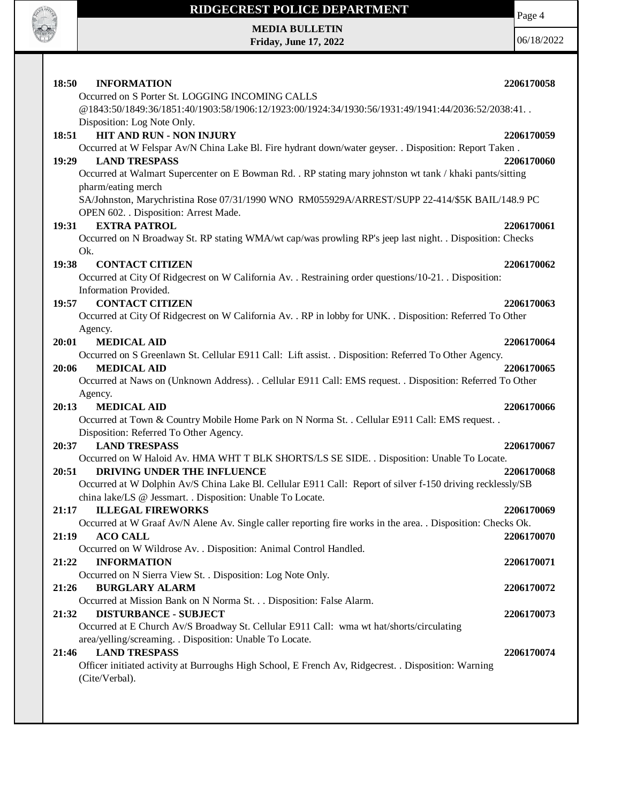

# **RIDGECREST POLICE DEPARTMENT MEDIA BULLETIN**

**Friday, June 17, 2022**

Page 4

| 18:50<br><b>INFORMATION</b>                                                                                  | 2206170058 |
|--------------------------------------------------------------------------------------------------------------|------------|
| Occurred on S Porter St. LOGGING INCOMING CALLS                                                              |            |
| @1843:50/1849:36/1851:40/1903:58/1906:12/1923:00/1924:34/1930:56/1931:49/1941:44/2036:52/2038:41.            |            |
| Disposition: Log Note Only.                                                                                  |            |
| <b>HIT AND RUN - NON INJURY</b><br>18:51                                                                     | 2206170059 |
| Occurred at W Felspar Av/N China Lake Bl. Fire hydrant down/water geyser. . Disposition: Report Taken.       |            |
| <b>LAND TRESPASS</b><br>19:29                                                                                | 2206170060 |
| Occurred at Walmart Supercenter on E Bowman Rd. . RP stating mary johnston wt tank / khaki pants/sitting     |            |
| pharm/eating merch                                                                                           |            |
| SA/Johnston, Marychristina Rose 07/31/1990 WNO RM055929A/ARREST/SUPP 22-414/\$5K BAIL/148.9 PC               |            |
| OPEN 602. . Disposition: Arrest Made.                                                                        |            |
| <b>EXTRA PATROL</b><br>19:31                                                                                 | 2206170061 |
| Occurred on N Broadway St. RP stating WMA/wt cap/was prowling RP's jeep last night. . Disposition: Checks    |            |
| Ok.                                                                                                          |            |
| <b>CONTACT CITIZEN</b><br>19:38                                                                              | 2206170062 |
| Occurred at City Of Ridgecrest on W California Av. . Restraining order questions/10-21. . Disposition:       |            |
| Information Provided.                                                                                        |            |
| <b>CONTACT CITIZEN</b><br>19:57                                                                              | 2206170063 |
| Occurred at City Of Ridgecrest on W California Av. . RP in lobby for UNK. . Disposition: Referred To Other   |            |
| Agency.                                                                                                      |            |
| <b>MEDICAL AID</b><br>20:01                                                                                  | 2206170064 |
| Occurred on S Greenlawn St. Cellular E911 Call: Lift assist. . Disposition: Referred To Other Agency.        |            |
| <b>MEDICAL AID</b><br>20:06                                                                                  | 2206170065 |
| Occurred at Naws on (Unknown Address). . Cellular E911 Call: EMS request. . Disposition: Referred To Other   |            |
| Agency.                                                                                                      |            |
| <b>MEDICAL AID</b><br>20:13                                                                                  | 2206170066 |
| Occurred at Town & Country Mobile Home Park on N Norma St. . Cellular E911 Call: EMS request. .              |            |
| Disposition: Referred To Other Agency.                                                                       |            |
| <b>LAND TRESPASS</b><br>20:37                                                                                | 2206170067 |
| Occurred on W Haloid Av. HMA WHT T BLK SHORTS/LS SE SIDE. . Disposition: Unable To Locate.                   |            |
| DRIVING UNDER THE INFLUENCE<br>20:51                                                                         | 2206170068 |
| Occurred at W Dolphin Av/S China Lake Bl. Cellular E911 Call: Report of silver f-150 driving recklessly/SB   |            |
| china lake/LS @ Jessmart. . Disposition: Unable To Locate.<br>21:17<br><b>ILLEGAL FIREWORKS</b>              | 2206170069 |
| Occurred at W Graaf Av/N Alene Av. Single caller reporting fire works in the area. . Disposition: Checks Ok. |            |
| <b>ACO CALL</b><br>21:19                                                                                     | 2206170070 |
| Occurred on W Wildrose Av. . Disposition: Animal Control Handled.                                            |            |
| <b>INFORMATION</b><br>21:22                                                                                  | 2206170071 |
| Occurred on N Sierra View St. . Disposition: Log Note Only.                                                  |            |
| 21:26<br><b>BURGLARY ALARM</b>                                                                               | 2206170072 |
| Occurred at Mission Bank on N Norma St. Disposition: False Alarm.                                            |            |
| <b>DISTURBANCE - SUBJECT</b><br>21:32                                                                        | 2206170073 |
| Occurred at E Church Av/S Broadway St. Cellular E911 Call: wma wt hat/shorts/circulating                     |            |
| area/yelling/screaming. . Disposition: Unable To Locate.                                                     |            |
| 21:46<br><b>LAND TRESPASS</b>                                                                                | 2206170074 |
| Officer initiated activity at Burroughs High School, E French Av, Ridgecrest. . Disposition: Warning         |            |
| (Cite/Verbal).                                                                                               |            |
|                                                                                                              |            |
|                                                                                                              |            |